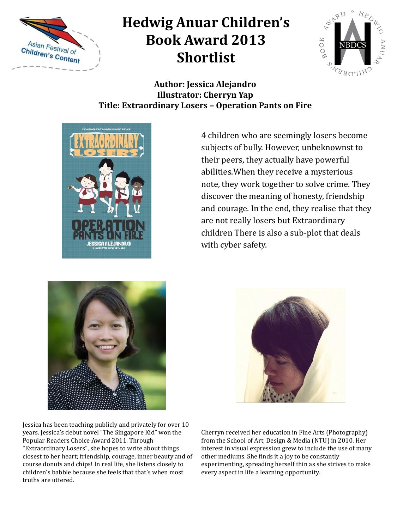



#### **Author: Jessica Alejandro Illustrator: Cherryn Yap Title: Extraordinary Losers – Operation Pants on Fire**



4 children who are seemingly losers become subjects of bully. However, unbeknownst to their peers, they actually have powerful abilities.When they receive a mysterious note, they work together to solve crime. They discover the meaning of honesty, friendship and courage. In the end, they realise that they are not really losers but Extraordinary children There is also a sub-plot that deals with cyber safety.



Jessica has been teaching publicly and privately for over 10 years. Jessica's debut novel "The Singapore Kid" won the Popular Readers Choice Award 2011. Through "Extraordinary Losers", she hopes to write about things closest to her heart; friendship, courage, inner beauty and of course donuts and chips! In real life, she listens closely to children's babble because she feels that that's when most truths are uttered.



Cherryn received her education in Fine Arts (Photography) from the School of Art, Design & Media (NTU) in 2010. Her interest in visual expression grew to include the use of many other mediums. She finds it a joy to be constantly experimenting, spreading herself thin as she strives to make every aspect in life a learning opportunity.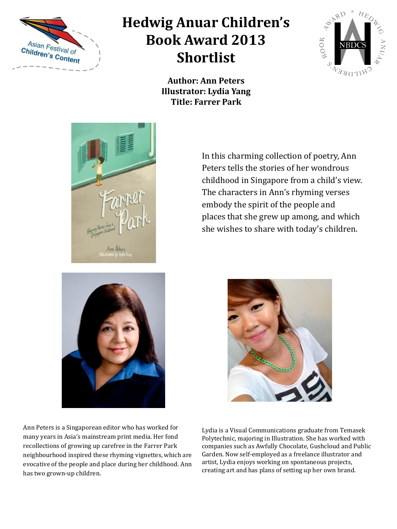



**Author: Ann Peters Illustrator: Lydia Yang Title: Farrer Park**



In this charming collection of poetry, Ann Peters tells the stories of her wondrous childhood in Singapore from a child's view. The characters in Ann's rhyming verses embody the spirit of the people and places that she grew up among, and which she wishes to share with today's children.



Ann Peters is a Singaporean editor who has worked for many years in Asia's mainstream print media. Her fond recollections of growing up carefree in the Farrer Park neighbourhood inspired these rhyming vignettes, which are evocative of the people and place during her childhood. Ann has two grown-up children.

Lydia is a Visual Communications graduate from Temasek Polytechnic, majoring in Illustration. She has worked with companies such as Awfully Chocolate, Gushcloud and Public Garden. Now self-employed as a freelance illustrator and artist, Lydia enjoys working on spontaneous projects, creating art and has plans of setting up her own brand.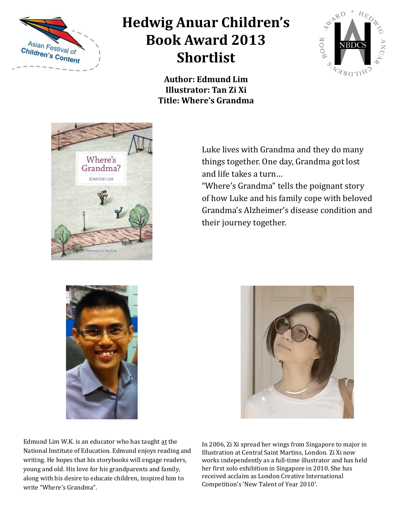



**Author: Edmund Lim Illustrator: Tan Zi Xi Title: Where's Grandma**



Luke lives with Grandma and they do many things together. One day, Grandma got lost and life takes a turn…

"Where's Grandma" tells the poignant story of how Luke and his family cope with beloved Grandma's Alzheimer's disease condition and their journey together.





Edmund Lim W.K. is an educator who has taught at the National Institute of Education. Edmund enjoys reading and writing. He hopes that his storybooks will engage readers, young and old. His love for his grandparents and family, along with his desire to educate children, inspired him to write "Where's Grandma".

In 2006, Zi Xi spread her wings from Singapore to major in Illustration at Central Saint Martins, London. Zi Xi now works independently as a full-time illustrator and has held her first solo exhibition in Singapore in 2010. She has received acclaim as London Creative International Competition's 'New Talent of Year 2010'.